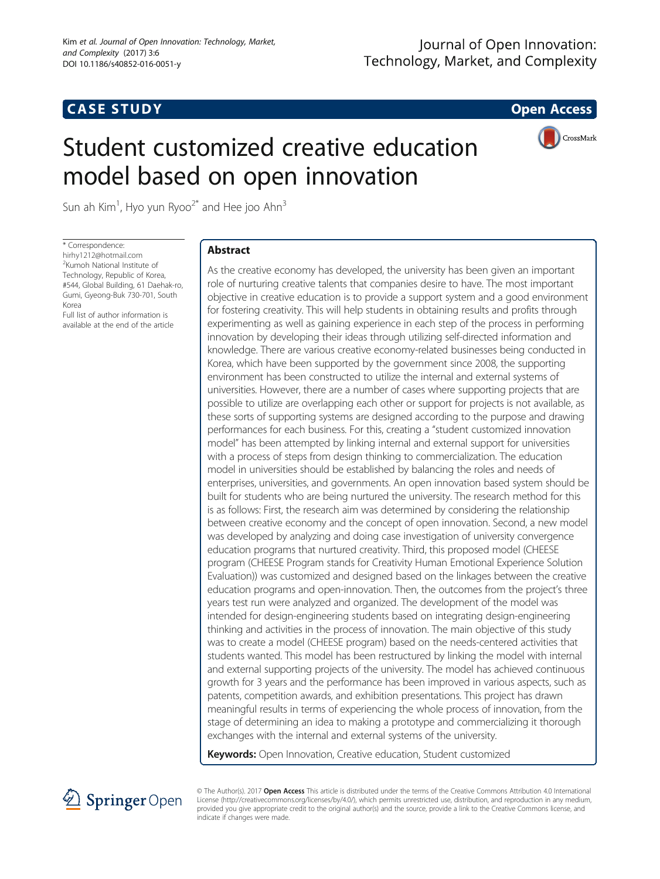# Student customized creative education model based on open innovation



Sun ah Kim<sup>1</sup>, Hyo yun Ryoo<sup>2\*</sup> and Hee joo Ahn<sup>3</sup>

\* Correspondence:

[hirhy1212@hotmail.com](mailto:hirhy1212@hotmail.com) <sup>2</sup> Kumoh National Institute of Technology, Republic of Korea, #544, Global Building, 61 Daehak-ro, Gumi, Gyeong-Buk 730-701, South Korea

Full list of author information is available at the end of the article

# Abstract

As the creative economy has developed, the university has been given an important role of nurturing creative talents that companies desire to have. The most important objective in creative education is to provide a support system and a good environment for fostering creativity. This will help students in obtaining results and profits through experimenting as well as gaining experience in each step of the process in performing innovation by developing their ideas through utilizing self-directed information and knowledge. There are various creative economy-related businesses being conducted in Korea, which have been supported by the government since 2008, the supporting environment has been constructed to utilize the internal and external systems of universities. However, there are a number of cases where supporting projects that are possible to utilize are overlapping each other or support for projects is not available, as these sorts of supporting systems are designed according to the purpose and drawing performances for each business. For this, creating a "student customized innovation model" has been attempted by linking internal and external support for universities with a process of steps from design thinking to commercialization. The education model in universities should be established by balancing the roles and needs of enterprises, universities, and governments. An open innovation based system should be built for students who are being nurtured the university. The research method for this is as follows: First, the research aim was determined by considering the relationship between creative economy and the concept of open innovation. Second, a new model was developed by analyzing and doing case investigation of university convergence education programs that nurtured creativity. Third, this proposed model (CHEESE program (CHEESE Program stands for Creativity Human Emotional Experience Solution Evaluation)) was customized and designed based on the linkages between the creative education programs and open-innovation. Then, the outcomes from the project's three years test run were analyzed and organized. The development of the model was intended for design-engineering students based on integrating design-engineering thinking and activities in the process of innovation. The main objective of this study was to create a model (CHEESE program) based on the needs-centered activities that students wanted. This model has been restructured by linking the model with internal and external supporting projects of the university. The model has achieved continuous growth for 3 years and the performance has been improved in various aspects, such as patents, competition awards, and exhibition presentations. This project has drawn meaningful results in terms of experiencing the whole process of innovation, from the stage of determining an idea to making a prototype and commercializing it thorough exchanges with the internal and external systems of the university.

Keywords: Open Innovation, Creative education, Student customized



© The Author(s). 2017 Open Access This article is distributed under the terms of the Creative Commons Attribution 4.0 International License [\(http://creativecommons.org/licenses/by/4.0/](http://creativecommons.org/licenses/by/4.0/)), which permits unrestricted use, distribution, and reproduction in any medium, provided you give appropriate credit to the original author(s) and the source, provide a link to the Creative Commons license, and indicate if changes were made.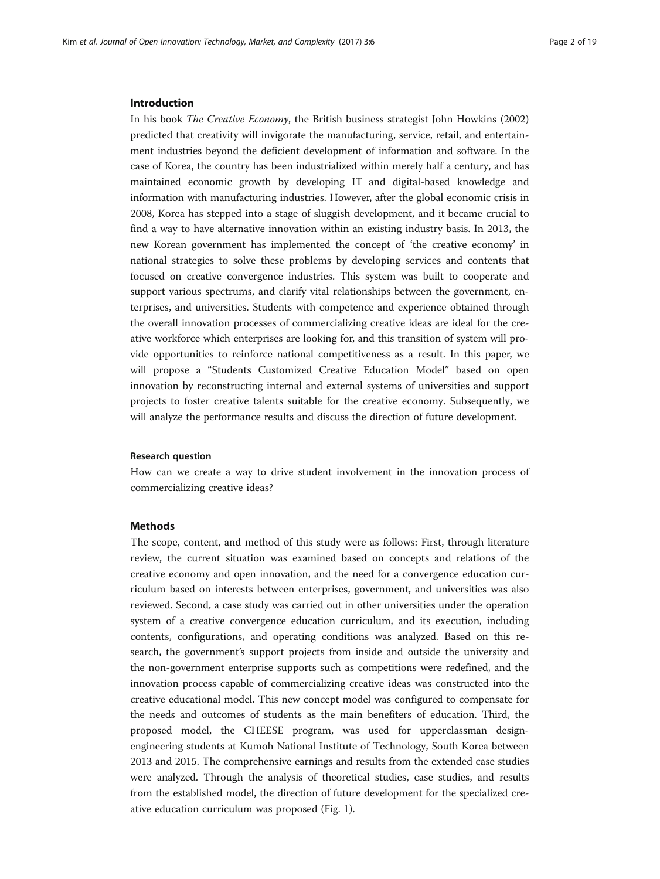#### Introduction

In his book The Creative Economy, the British business strategist John Howkins ([2002](#page-18-0)) predicted that creativity will invigorate the manufacturing, service, retail, and entertainment industries beyond the deficient development of information and software. In the case of Korea, the country has been industrialized within merely half a century, and has maintained economic growth by developing IT and digital-based knowledge and information with manufacturing industries. However, after the global economic crisis in 2008, Korea has stepped into a stage of sluggish development, and it became crucial to find a way to have alternative innovation within an existing industry basis. In 2013, the new Korean government has implemented the concept of 'the creative economy' in national strategies to solve these problems by developing services and contents that focused on creative convergence industries. This system was built to cooperate and support various spectrums, and clarify vital relationships between the government, enterprises, and universities. Students with competence and experience obtained through the overall innovation processes of commercializing creative ideas are ideal for the creative workforce which enterprises are looking for, and this transition of system will provide opportunities to reinforce national competitiveness as a result. In this paper, we will propose a "Students Customized Creative Education Model" based on open innovation by reconstructing internal and external systems of universities and support projects to foster creative talents suitable for the creative economy. Subsequently, we will analyze the performance results and discuss the direction of future development.

#### Research question

How can we create a way to drive student involvement in the innovation process of commercializing creative ideas?

#### Methods

The scope, content, and method of this study were as follows: First, through literature review, the current situation was examined based on concepts and relations of the creative economy and open innovation, and the need for a convergence education curriculum based on interests between enterprises, government, and universities was also reviewed. Second, a case study was carried out in other universities under the operation system of a creative convergence education curriculum, and its execution, including contents, configurations, and operating conditions was analyzed. Based on this research, the government's support projects from inside and outside the university and the non-government enterprise supports such as competitions were redefined, and the innovation process capable of commercializing creative ideas was constructed into the creative educational model. This new concept model was configured to compensate for the needs and outcomes of students as the main benefiters of education. Third, the proposed model, the CHEESE program, was used for upperclassman designengineering students at Kumoh National Institute of Technology, South Korea between 2013 and 2015. The comprehensive earnings and results from the extended case studies were analyzed. Through the analysis of theoretical studies, case studies, and results from the established model, the direction of future development for the specialized creative education curriculum was proposed (Fig. [1](#page-2-0)).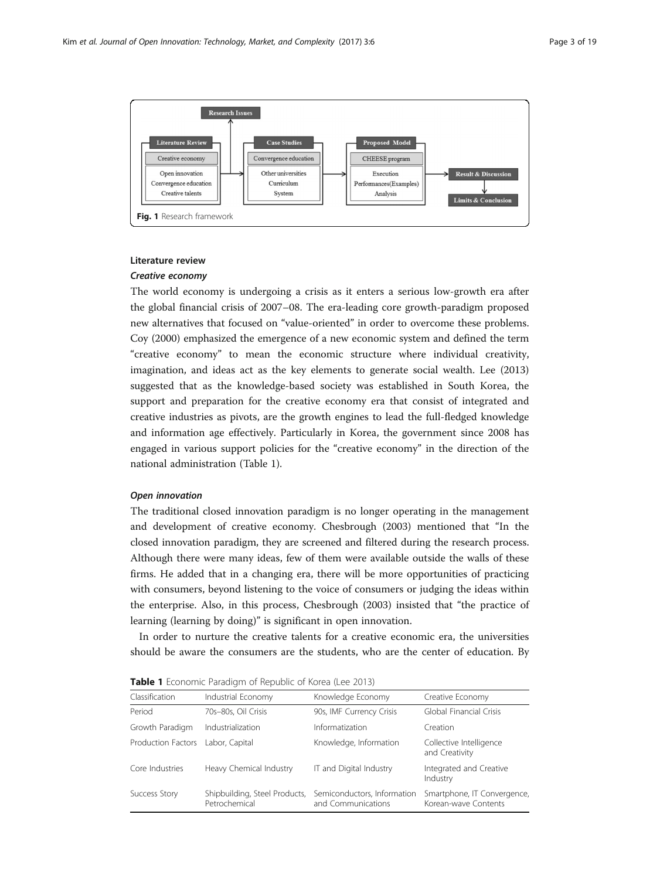<span id="page-2-0"></span>

# Literature review

#### Creative economy

The world economy is undergoing a crisis as it enters a serious low-growth era after the global financial crisis of 2007–08. The era-leading core growth-paradigm proposed new alternatives that focused on "value-oriented" in order to overcome these problems. Coy ([2000\)](#page-18-0) emphasized the emergence of a new economic system and defined the term "creative economy" to mean the economic structure where individual creativity, imagination, and ideas act as the key elements to generate social wealth. Lee ([2013](#page-18-0)) suggested that as the knowledge-based society was established in South Korea, the support and preparation for the creative economy era that consist of integrated and creative industries as pivots, are the growth engines to lead the full-fledged knowledge and information age effectively. Particularly in Korea, the government since 2008 has engaged in various support policies for the "creative economy" in the direction of the national administration (Table 1).

#### Open innovation

The traditional closed innovation paradigm is no longer operating in the management and development of creative economy. Chesbrough [\(2003](#page-18-0)) mentioned that "In the closed innovation paradigm, they are screened and filtered during the research process. Although there were many ideas, few of them were available outside the walls of these firms. He added that in a changing era, there will be more opportunities of practicing with consumers, beyond listening to the voice of consumers or judging the ideas within the enterprise. Also, in this process, Chesbrough ([2003](#page-18-0)) insisted that "the practice of learning (learning by doing)" is significant in open innovation.

In order to nurture the creative talents for a creative economic era, the universities should be aware the consumers are the students, who are the center of education. By

Table 1 Economic Paradigm of Republic of Korea (Lee [2013](#page-18-0))

| Classification     | Industrial Economy                             | Knowledge Economy                                 | Creative Economy                                    |
|--------------------|------------------------------------------------|---------------------------------------------------|-----------------------------------------------------|
| Period             | 70s-80s, Oil Crisis                            | 90s, IMF Currency Crisis                          | Global Financial Crisis                             |
| Growth Paradigm    | Industrialization                              | Informatization                                   | Creation                                            |
| Production Factors | Labor, Capital                                 | Knowledge, Information                            | Collective Intelligence<br>and Creativity           |
| Core Industries    | Heavy Chemical Industry                        | IT and Digital Industry                           | Integrated and Creative<br>Industry                 |
| Success Story      | Shipbuilding, Steel Products,<br>Petrochemical | Semiconductors, Information<br>and Communications | Smartphone, IT Convergence,<br>Korean-wave Contents |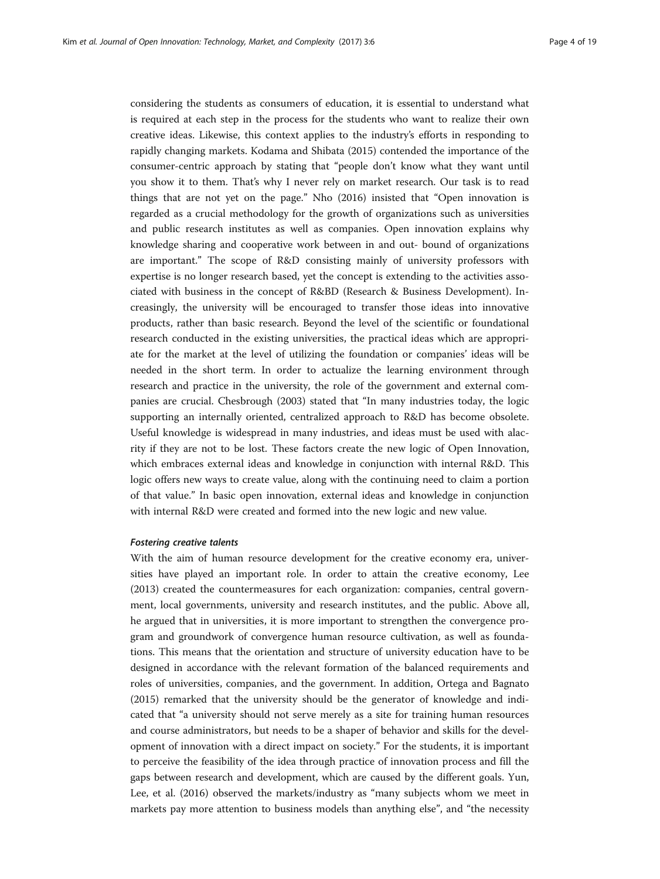considering the students as consumers of education, it is essential to understand what is required at each step in the process for the students who want to realize their own creative ideas. Likewise, this context applies to the industry's efforts in responding to rapidly changing markets. Kodama and Shibata [\(2015\)](#page-18-0) contended the importance of the consumer-centric approach by stating that "people don't know what they want until you show it to them. That's why I never rely on market research. Our task is to read things that are not yet on the page." Nho [\(2016\)](#page-18-0) insisted that "Open innovation is regarded as a crucial methodology for the growth of organizations such as universities and public research institutes as well as companies. Open innovation explains why knowledge sharing and cooperative work between in and out- bound of organizations are important." The scope of R&D consisting mainly of university professors with expertise is no longer research based, yet the concept is extending to the activities associated with business in the concept of R&BD (Research & Business Development). Increasingly, the university will be encouraged to transfer those ideas into innovative products, rather than basic research. Beyond the level of the scientific or foundational research conducted in the existing universities, the practical ideas which are appropriate for the market at the level of utilizing the foundation or companies' ideas will be needed in the short term. In order to actualize the learning environment through research and practice in the university, the role of the government and external companies are crucial. Chesbrough [\(2003\)](#page-18-0) stated that "In many industries today, the logic supporting an internally oriented, centralized approach to R&D has become obsolete. Useful knowledge is widespread in many industries, and ideas must be used with alacrity if they are not to be lost. These factors create the new logic of Open Innovation, which embraces external ideas and knowledge in conjunction with internal R&D. This logic offers new ways to create value, along with the continuing need to claim a portion of that value." In basic open innovation, external ideas and knowledge in conjunction with internal R&D were created and formed into the new logic and new value.

#### Fostering creative talents

With the aim of human resource development for the creative economy era, universities have played an important role. In order to attain the creative economy, Lee ([2013](#page-18-0)) created the countermeasures for each organization: companies, central government, local governments, university and research institutes, and the public. Above all, he argued that in universities, it is more important to strengthen the convergence program and groundwork of convergence human resource cultivation, as well as foundations. This means that the orientation and structure of university education have to be designed in accordance with the relevant formation of the balanced requirements and roles of universities, companies, and the government. In addition, Ortega and Bagnato ([2015](#page-18-0)) remarked that the university should be the generator of knowledge and indicated that "a university should not serve merely as a site for training human resources and course administrators, but needs to be a shaper of behavior and skills for the development of innovation with a direct impact on society." For the students, it is important to perceive the feasibility of the idea through practice of innovation process and fill the gaps between research and development, which are caused by the different goals. Yun, Lee, et al. [\(2016](#page-18-0)) observed the markets/industry as "many subjects whom we meet in markets pay more attention to business models than anything else", and "the necessity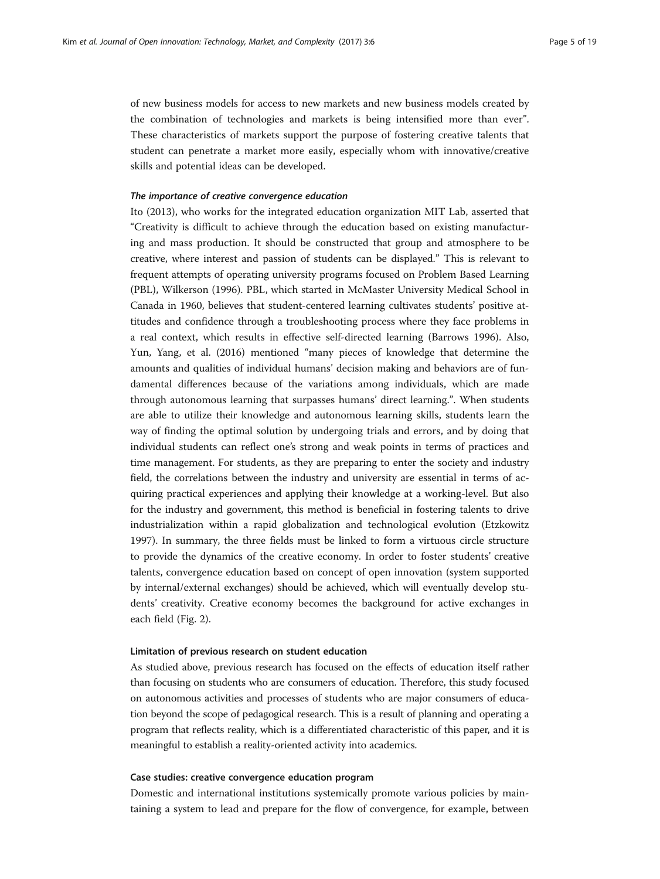of new business models for access to new markets and new business models created by the combination of technologies and markets is being intensified more than ever". These characteristics of markets support the purpose of fostering creative talents that student can penetrate a market more easily, especially whom with innovative/creative skills and potential ideas can be developed.

#### The importance of creative convergence education

Ito [\(2013](#page-18-0)), who works for the integrated education organization MIT Lab, asserted that "Creativity is difficult to achieve through the education based on existing manufacturing and mass production. It should be constructed that group and atmosphere to be creative, where interest and passion of students can be displayed." This is relevant to frequent attempts of operating university programs focused on Problem Based Learning (PBL), Wilkerson [\(1996](#page-18-0)). PBL, which started in McMaster University Medical School in Canada in 1960, believes that student-centered learning cultivates students' positive attitudes and confidence through a troubleshooting process where they face problems in a real context, which results in effective self-directed learning (Barrows [1996](#page-18-0)). Also, Yun, Yang, et al. [\(2016](#page-18-0)) mentioned "many pieces of knowledge that determine the amounts and qualities of individual humans' decision making and behaviors are of fundamental differences because of the variations among individuals, which are made through autonomous learning that surpasses humans' direct learning.". When students are able to utilize their knowledge and autonomous learning skills, students learn the way of finding the optimal solution by undergoing trials and errors, and by doing that individual students can reflect one's strong and weak points in terms of practices and time management. For students, as they are preparing to enter the society and industry field, the correlations between the industry and university are essential in terms of acquiring practical experiences and applying their knowledge at a working-level. But also for the industry and government, this method is beneficial in fostering talents to drive industrialization within a rapid globalization and technological evolution (Etzkowitz [1997](#page-18-0)). In summary, the three fields must be linked to form a virtuous circle structure to provide the dynamics of the creative economy. In order to foster students' creative talents, convergence education based on concept of open innovation (system supported by internal/external exchanges) should be achieved, which will eventually develop students' creativity. Creative economy becomes the background for active exchanges in each field (Fig. [2](#page-5-0)).

#### Limitation of previous research on student education

As studied above, previous research has focused on the effects of education itself rather than focusing on students who are consumers of education. Therefore, this study focused on autonomous activities and processes of students who are major consumers of education beyond the scope of pedagogical research. This is a result of planning and operating a program that reflects reality, which is a differentiated characteristic of this paper, and it is meaningful to establish a reality-oriented activity into academics.

## Case studies: creative convergence education program

Domestic and international institutions systemically promote various policies by maintaining a system to lead and prepare for the flow of convergence, for example, between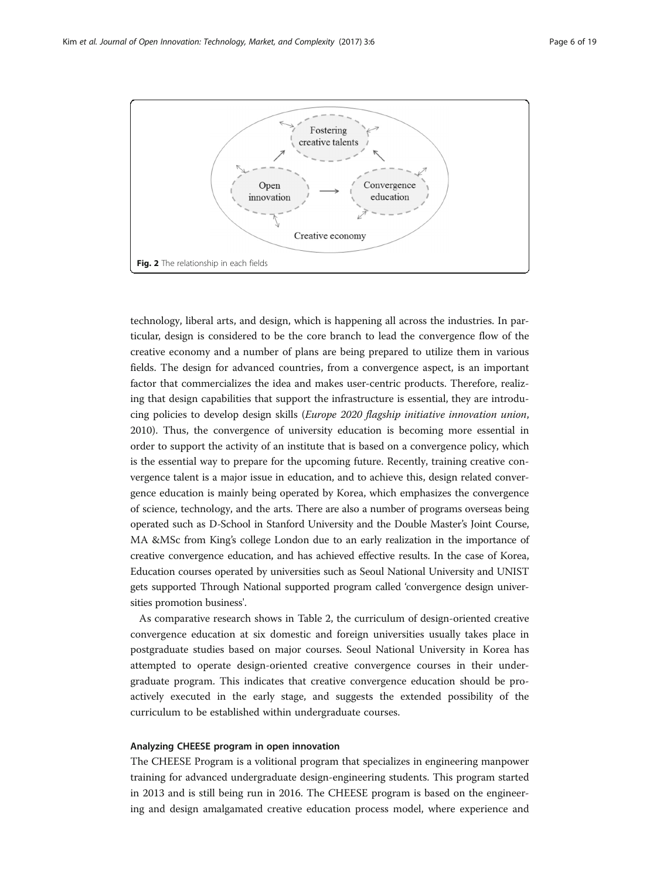<span id="page-5-0"></span>

technology, liberal arts, and design, which is happening all across the industries. In particular, design is considered to be the core branch to lead the convergence flow of the creative economy and a number of plans are being prepared to utilize them in various fields. The design for advanced countries, from a convergence aspect, is an important factor that commercializes the idea and makes user-centric products. Therefore, realizing that design capabilities that support the infrastructure is essential, they are introducing policies to develop design skills (Europe 2020 flagship initiative innovation union, [2010](#page-18-0)). Thus, the convergence of university education is becoming more essential in order to support the activity of an institute that is based on a convergence policy, which is the essential way to prepare for the upcoming future. Recently, training creative convergence talent is a major issue in education, and to achieve this, design related convergence education is mainly being operated by Korea, which emphasizes the convergence of science, technology, and the arts. There are also a number of programs overseas being operated such as D-School in Stanford University and the Double Master's Joint Course, MA &MSc from King's college London due to an early realization in the importance of creative convergence education, and has achieved effective results. In the case of Korea, Education courses operated by universities such as Seoul National University and UNIST gets supported Through National supported program called 'convergence design universities promotion business'.

As comparative research shows in Table [2,](#page-6-0) the curriculum of design-oriented creative convergence education at six domestic and foreign universities usually takes place in postgraduate studies based on major courses. Seoul National University in Korea has attempted to operate design-oriented creative convergence courses in their undergraduate program. This indicates that creative convergence education should be proactively executed in the early stage, and suggests the extended possibility of the curriculum to be established within undergraduate courses.

# Analyzing CHEESE program in open innovation

The CHEESE Program is a volitional program that specializes in engineering manpower training for advanced undergraduate design-engineering students. This program started in 2013 and is still being run in 2016. The CHEESE program is based on the engineering and design amalgamated creative education process model, where experience and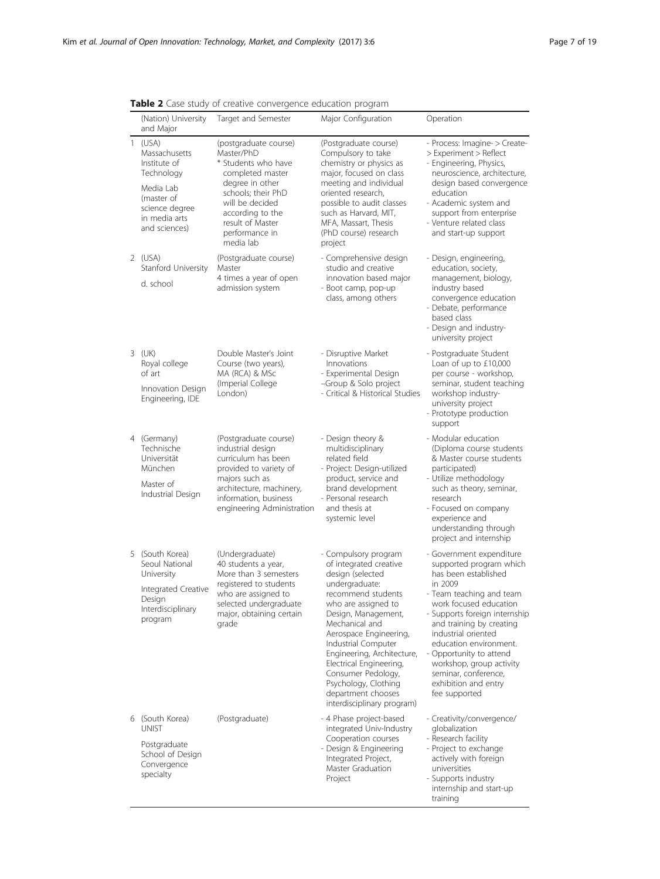| (Nation) University<br>and Major                                                                                                        | Target and Semester                                                                                                                                                                                               | Major Configuration                                                                                                                                                                                                                                                                                                                                                                    | Operation                                                                                                                                                                                                                                                                                                                                                                          |
|-----------------------------------------------------------------------------------------------------------------------------------------|-------------------------------------------------------------------------------------------------------------------------------------------------------------------------------------------------------------------|----------------------------------------------------------------------------------------------------------------------------------------------------------------------------------------------------------------------------------------------------------------------------------------------------------------------------------------------------------------------------------------|------------------------------------------------------------------------------------------------------------------------------------------------------------------------------------------------------------------------------------------------------------------------------------------------------------------------------------------------------------------------------------|
| $1$ (USA)<br>Massachusetts<br>Institute of<br>Technology<br>Media Lab<br>(master of<br>science degree<br>in media arts<br>and sciences) | (postgraduate course)<br>Master/PhD<br>* Students who have<br>completed master<br>degree in other<br>schools; their PhD<br>will be decided<br>according to the<br>result of Master<br>performance in<br>media lab | (Postgraduate course)<br>Compulsory to take<br>chemistry or physics as<br>major, focused on class<br>meeting and individual<br>oriented research,<br>possible to audit classes<br>such as Harvard, MIT,<br>MFA, Massart, Thesis<br>(PhD course) research<br>project                                                                                                                    | - Process: Imagine- > Create-<br>> Experiment > Reflect<br>- Engineering, Physics,<br>neuroscience, architecture,<br>design based convergence<br>education<br>- Academic system and<br>support from enterprise<br>- Venture related class<br>and start-up support                                                                                                                  |
| $2$ (USA)<br>Stanford University<br>d. school                                                                                           | (Postgraduate course)<br>Master<br>4 times a year of open<br>admission system                                                                                                                                     | - Comprehensive design<br>studio and creative<br>innovation based major<br>- Boot camp, pop-up<br>class, among others                                                                                                                                                                                                                                                                  | - Design, engineering,<br>education, society,<br>management, biology,<br>industry based<br>convergence education<br>- Debate, performance<br>based class<br>- Design and industry-<br>university project                                                                                                                                                                           |
| 3 (UK)<br>Royal college<br>of art<br>Innovation Design<br>Engineering, IDE                                                              | Double Master's Joint<br>Course (two years),<br>MA (RCA) & MSc<br>(Imperial College<br>London)                                                                                                                    | - Disruptive Market<br>Innovations<br>- Experimental Design<br>-Group & Solo project<br>- Critical & Historical Studies                                                                                                                                                                                                                                                                | - Postgraduate Student<br>Loan of up to $£10,000$<br>per course - workshop,<br>seminar, student teaching<br>workshop industry-<br>university project<br>- Prototype production<br>support                                                                                                                                                                                          |
| 4 (Germany)<br>Technische<br>Universität<br>München<br>Master of<br>Industrial Design                                                   | (Postgraduate course)<br>industrial design<br>curriculum has been<br>provided to variety of<br>majors such as<br>architecture, machinery,<br>information, business<br>engineering Administration                  | - Design theory &<br>multidisciplinary<br>related field<br>- Project: Design-utilized<br>product, service and<br>brand development<br>- Personal research<br>and thesis at<br>systemic level                                                                                                                                                                                           | - Modular education<br>(Diploma course students<br>& Master course students<br>participated)<br>- Utilize methodology<br>such as theory, seminar,<br>research<br>- Focused on company<br>experience and<br>understanding through<br>project and internship                                                                                                                         |
| 5 (South Korea)<br>Seoul National<br>University<br>Integrated Creative<br>Design<br>Interdisciplinary<br>program                        | (Undergraduate)<br>40 students a year,<br>More than 3 semesters<br>registered to students<br>who are assigned to<br>selected undergraduate<br>major, obtaining certain<br>grade                                   | - Compulsory program<br>of integrated creative<br>design (selected<br>undergraduate:<br>recommend students<br>who are assigned to<br>Design, Management,<br>Mechanical and<br>Aerospace Engineering,<br>Industrial Computer<br>Engineering, Architecture,<br>Electrical Engineering,<br>Consumer Pedology,<br>Psychology, Clothing<br>department chooses<br>interdisciplinary program) | - Government expenditure<br>supported program which<br>has been established<br>in 2009<br>- Team teaching and team<br>work focused education<br>- Supports foreign internship<br>and training by creating<br>industrial oriented<br>education environment.<br>- Opportunity to attend<br>workshop, group activity<br>seminar, conference,<br>exhibition and entry<br>fee supported |
| 6 (South Korea)<br><b>UNIST</b><br>Postgraduate<br>School of Design<br>Convergence<br>specialty                                         | (Postgraduate)                                                                                                                                                                                                    | - 4 Phase project-based<br>integrated Univ-Industry<br>Cooperation courses<br>- Design & Engineering<br>Integrated Project,<br>Master Graduation<br>Project                                                                                                                                                                                                                            | - Creativity/convergence/<br>globalization<br>- Research facility<br>- Project to exchange<br>actively with foreign<br>universities<br>- Supports industry<br>internship and start-up<br>training                                                                                                                                                                                  |

<span id="page-6-0"></span>Table 2 Case study of creative convergence education program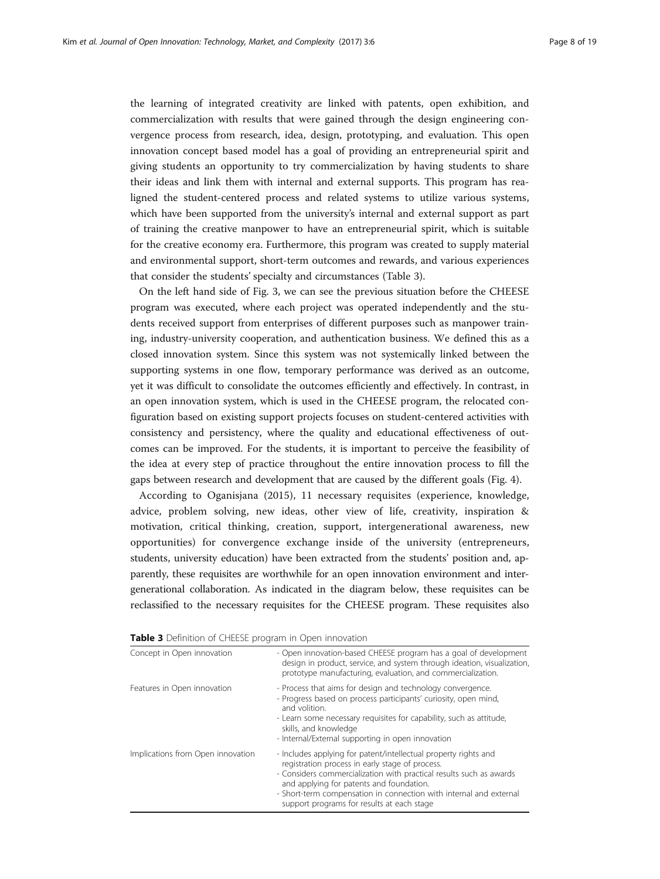the learning of integrated creativity are linked with patents, open exhibition, and commercialization with results that were gained through the design engineering convergence process from research, idea, design, prototyping, and evaluation. This open innovation concept based model has a goal of providing an entrepreneurial spirit and giving students an opportunity to try commercialization by having students to share their ideas and link them with internal and external supports. This program has realigned the student-centered process and related systems to utilize various systems, which have been supported from the university's internal and external support as part of training the creative manpower to have an entrepreneurial spirit, which is suitable for the creative economy era. Furthermore, this program was created to supply material and environmental support, short-term outcomes and rewards, and various experiences that consider the students' specialty and circumstances (Table 3).

On the left hand side of Fig. [3,](#page-8-0) we can see the previous situation before the CHEESE program was executed, where each project was operated independently and the students received support from enterprises of different purposes such as manpower training, industry-university cooperation, and authentication business. We defined this as a closed innovation system. Since this system was not systemically linked between the supporting systems in one flow, temporary performance was derived as an outcome, yet it was difficult to consolidate the outcomes efficiently and effectively. In contrast, in an open innovation system, which is used in the CHEESE program, the relocated configuration based on existing support projects focuses on student-centered activities with consistency and persistency, where the quality and educational effectiveness of outcomes can be improved. For the students, it is important to perceive the feasibility of the idea at every step of practice throughout the entire innovation process to fill the gaps between research and development that are caused by the different goals (Fig. [4\)](#page-8-0).

According to Oganisjana [\(2015](#page-18-0)), 11 necessary requisites (experience, knowledge, advice, problem solving, new ideas, other view of life, creativity, inspiration & motivation, critical thinking, creation, support, intergenerational awareness, new opportunities) for convergence exchange inside of the university (entrepreneurs, students, university education) have been extracted from the students' position and, apparently, these requisites are worthwhile for an open innovation environment and intergenerational collaboration. As indicated in the diagram below, these requisites can be reclassified to the necessary requisites for the CHEESE program. These requisites also

| Concept in Open innovation        | - Open innovation-based CHEESE program has a goal of development<br>design in product, service, and system through ideation, visualization,<br>prototype manufacturing, evaluation, and commercialization.                                                                                                                                                |
|-----------------------------------|-----------------------------------------------------------------------------------------------------------------------------------------------------------------------------------------------------------------------------------------------------------------------------------------------------------------------------------------------------------|
| Features in Open innovation       | - Process that aims for design and technology convergence.<br>- Progress based on process participants' curiosity, open mind,<br>and volition.<br>- Learn some necessary requisites for capability, such as attitude,<br>skills, and knowledge<br>- Internal/External supporting in open innovation                                                       |
| Implications from Open innovation | - Includes applying for patent/intellectual property rights and<br>registration process in early stage of process.<br>- Considers commercialization with practical results such as awards<br>and applying for patents and foundation.<br>- Short-term compensation in connection with internal and external<br>support programs for results at each stage |

| Table 3 Definition of CHEESE program in Open innovation |  |  |  |
|---------------------------------------------------------|--|--|--|
|                                                         |  |  |  |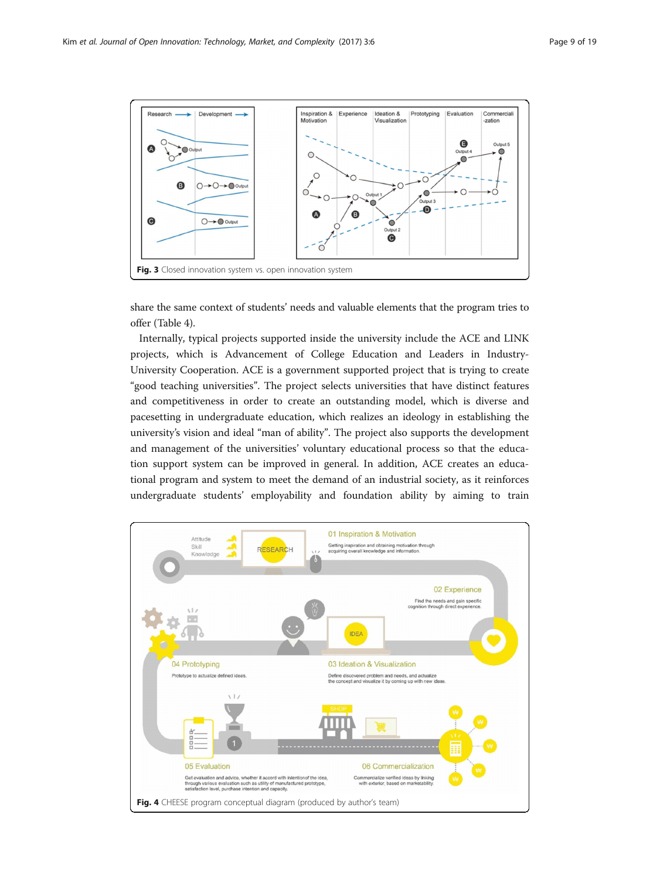<span id="page-8-0"></span>

share the same context of students' needs and valuable elements that the program tries to offer (Table [4](#page-9-0)).

Internally, typical projects supported inside the university include the ACE and LINK projects, which is Advancement of College Education and Leaders in Industry-University Cooperation. ACE is a government supported project that is trying to create "good teaching universities". The project selects universities that have distinct features and competitiveness in order to create an outstanding model, which is diverse and pacesetting in undergraduate education, which realizes an ideology in establishing the university's vision and ideal "man of ability". The project also supports the development and management of the universities' voluntary educational process so that the education support system can be improved in general. In addition, ACE creates an educational program and system to meet the demand of an industrial society, as it reinforces undergraduate students' employability and foundation ability by aiming to train

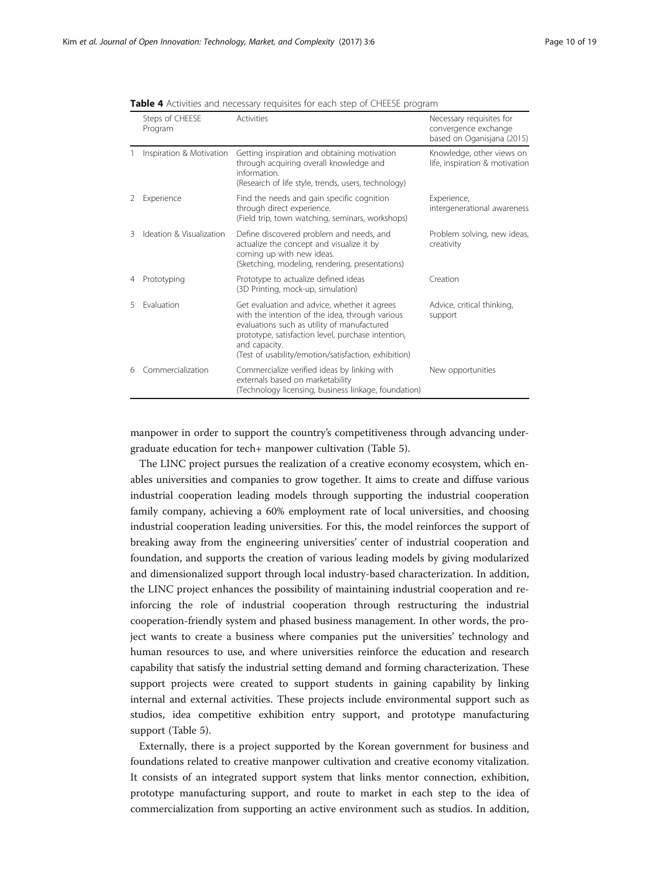|    | Steps of CHEESE<br>Program | <b>Activities</b>                                                                                                                                                                                                                                                             | Necessary requisites for<br>convergence exchange<br>based on Oganisjana (2015) |
|----|----------------------------|-------------------------------------------------------------------------------------------------------------------------------------------------------------------------------------------------------------------------------------------------------------------------------|--------------------------------------------------------------------------------|
|    | Inspiration & Motivation   | Getting inspiration and obtaining motivation<br>through acquiring overall knowledge and<br>information.<br>(Research of life style, trends, users, technology)                                                                                                                | Knowledge, other views on<br>life, inspiration & motivation                    |
|    | Experience                 | Find the needs and gain specific cognition<br>through direct experience.<br>(Field trip, town watching, seminars, workshops)                                                                                                                                                  | Experience,<br>intergenerational awareness                                     |
| 3  | Ideation & Visualization   | Define discovered problem and needs, and<br>actualize the concept and visualize it by<br>coming up with new ideas.<br>(Sketching, modeling, rendering, presentations)                                                                                                         | Problem solving, new ideas,<br>creativity                                      |
| 4  | Prototyping                | Prototype to actualize defined ideas<br>(3D Printing, mock-up, simulation)                                                                                                                                                                                                    | Creation                                                                       |
| 5. | Fvaluation                 | Get evaluation and advice, whether it agrees<br>with the intention of the idea, through various<br>evaluations such as utility of manufactured<br>prototype, satisfaction level, purchase intention,<br>and capacity.<br>(Test of usability/emotion/satisfaction, exhibition) | Advice, critical thinking,<br>support                                          |
| 6  | Commercialization          | Commercialize verified ideas by linking with<br>externals based on marketability<br>(Technology licensing, business linkage, foundation)                                                                                                                                      | New opportunities                                                              |

<span id="page-9-0"></span>**Table 4** Activities and necessary requisites for each step of CHEESE program

manpower in order to support the country's competitiveness through advancing undergraduate education for tech+ manpower cultivation (Table [5\)](#page-10-0).

The LINC project pursues the realization of a creative economy ecosystem, which enables universities and companies to grow together. It aims to create and diffuse various industrial cooperation leading models through supporting the industrial cooperation family company, achieving a 60% employment rate of local universities, and choosing industrial cooperation leading universities. For this, the model reinforces the support of breaking away from the engineering universities' center of industrial cooperation and foundation, and supports the creation of various leading models by giving modularized and dimensionalized support through local industry-based characterization. In addition, the LINC project enhances the possibility of maintaining industrial cooperation and reinforcing the role of industrial cooperation through restructuring the industrial cooperation-friendly system and phased business management. In other words, the project wants to create a business where companies put the universities' technology and human resources to use, and where universities reinforce the education and research capability that satisfy the industrial setting demand and forming characterization. These support projects were created to support students in gaining capability by linking internal and external activities. These projects include environmental support such as studios, idea competitive exhibition entry support, and prototype manufacturing support (Table [5](#page-10-0)).

Externally, there is a project supported by the Korean government for business and foundations related to creative manpower cultivation and creative economy vitalization. It consists of an integrated support system that links mentor connection, exhibition, prototype manufacturing support, and route to market in each step to the idea of commercialization from supporting an active environment such as studios. In addition,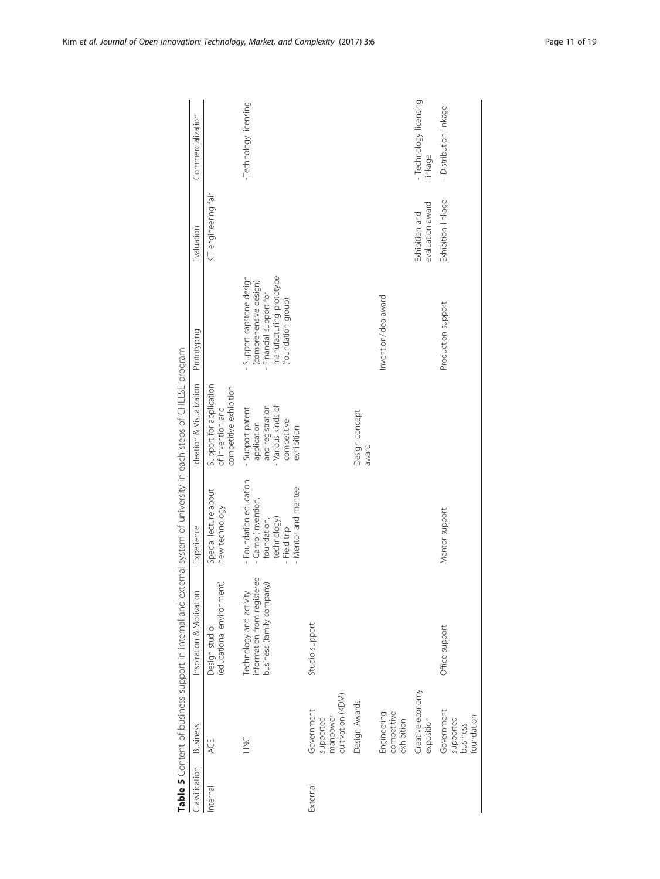<span id="page-10-0"></span>

|                |                                                          | Table 5 Content of business support in internal and external system of university in each steps of CHEESE program |                                                                                                               |                                                                                                        |                                                                                                                               |                                    |                                   |
|----------------|----------------------------------------------------------|-------------------------------------------------------------------------------------------------------------------|---------------------------------------------------------------------------------------------------------------|--------------------------------------------------------------------------------------------------------|-------------------------------------------------------------------------------------------------------------------------------|------------------------------------|-----------------------------------|
| Classification | <b>Business</b>                                          | Inspiration & Motivation                                                                                          | Experience                                                                                                    | Ideation & Visualization                                                                               | Prototyping                                                                                                                   | Evaluation                         | Commercialization                 |
| Internal       | <b>ACE</b>                                               | (educational environment)<br>Design studio                                                                        | Special lecture about<br>new technology                                                                       | Support for application<br>of invention and<br>competitive exhibition                                  |                                                                                                                               | KIT engineering fair               |                                   |
|                | NN                                                       | information from registered<br>business (family company)<br>Technology and activity                               | - Foundation education<br>Mentor and mentee<br>- Camp (invention,<br>foundation,<br>technology)<br>Field trip | application<br>and registration<br>- Various kinds of<br>- Support patent<br>competitive<br>exhibition | Financial support for<br>manufacturing prototype<br>- Support capstone design<br>(comprehensive design)<br>(foundation group) |                                    | -Technology licensing             |
| External       | cultivation (KDM)<br>Government<br>manpower<br>supported | Studio support                                                                                                    |                                                                                                               |                                                                                                        |                                                                                                                               |                                    |                                   |
|                | Design Awards                                            |                                                                                                                   |                                                                                                               | Design concept<br>award                                                                                |                                                                                                                               |                                    |                                   |
|                | Engineering<br>competitive<br>exhibition                 |                                                                                                                   |                                                                                                               |                                                                                                        | Invention/idea award                                                                                                          |                                    |                                   |
|                | Creative economy<br>exposition                           |                                                                                                                   |                                                                                                               |                                                                                                        |                                                                                                                               | evaluation award<br>Exhibition and | - Technology licensing<br>linkage |
|                | Government<br>foundation<br>supported<br>business        | Office support                                                                                                    | Mentor support                                                                                                |                                                                                                        | Production support                                                                                                            | Exhibition linkage                 | - Distribution linkage            |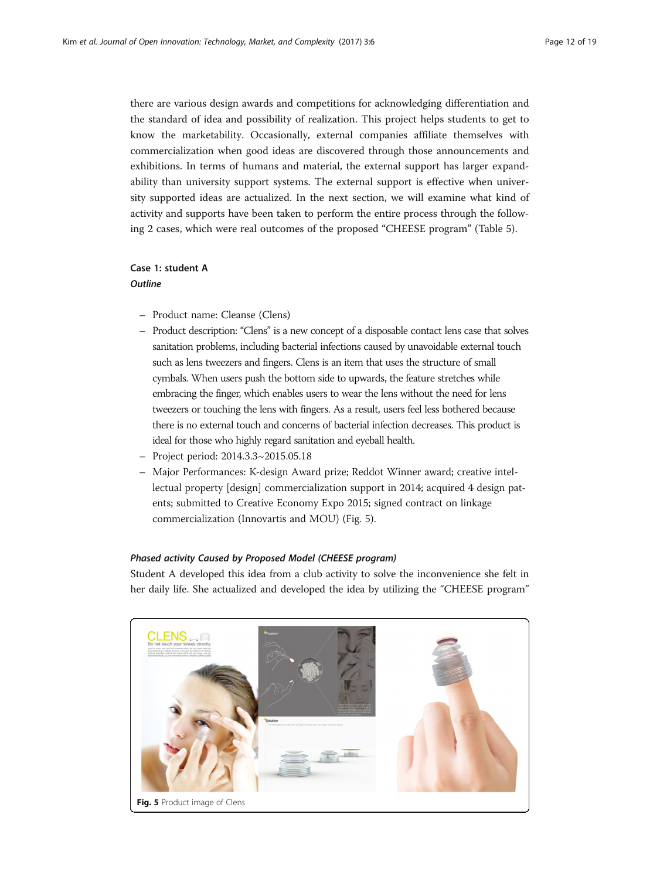there are various design awards and competitions for acknowledging differentiation and the standard of idea and possibility of realization. This project helps students to get to know the marketability. Occasionally, external companies affiliate themselves with commercialization when good ideas are discovered through those announcements and exhibitions. In terms of humans and material, the external support has larger expandability than university support systems. The external support is effective when university supported ideas are actualized. In the next section, we will examine what kind of activity and supports have been taken to perform the entire process through the following 2 cases, which were real outcomes of the proposed "CHEESE program" (Table [5\)](#page-10-0).

# Case 1: student A

**Outline** 

- Product name: Cleanse (Clens)
- Product description: "Clens" is a new concept of a disposable contact lens case that solves sanitation problems, including bacterial infections caused by unavoidable external touch such as lens tweezers and fingers. Clens is an item that uses the structure of small cymbals. When users push the bottom side to upwards, the feature stretches while embracing the finger, which enables users to wear the lens without the need for lens tweezers or touching the lens with fingers. As a result, users feel less bothered because there is no external touch and concerns of bacterial infection decreases. This product is ideal for those who highly regard sanitation and eyeball health.
- Project period: 2014.3.3~2015.05.18
- Major Performances: K-design Award prize; Reddot Winner award; creative intellectual property [design] commercialization support in 2014; acquired 4 design patents; submitted to Creative Economy Expo 2015; signed contract on linkage commercialization (Innovartis and MOU) (Fig. 5).

# Phased activity Caused by Proposed Model (CHEESE program)

Student A developed this idea from a club activity to solve the inconvenience she felt in her daily life. She actualized and developed the idea by utilizing the "CHEESE program"

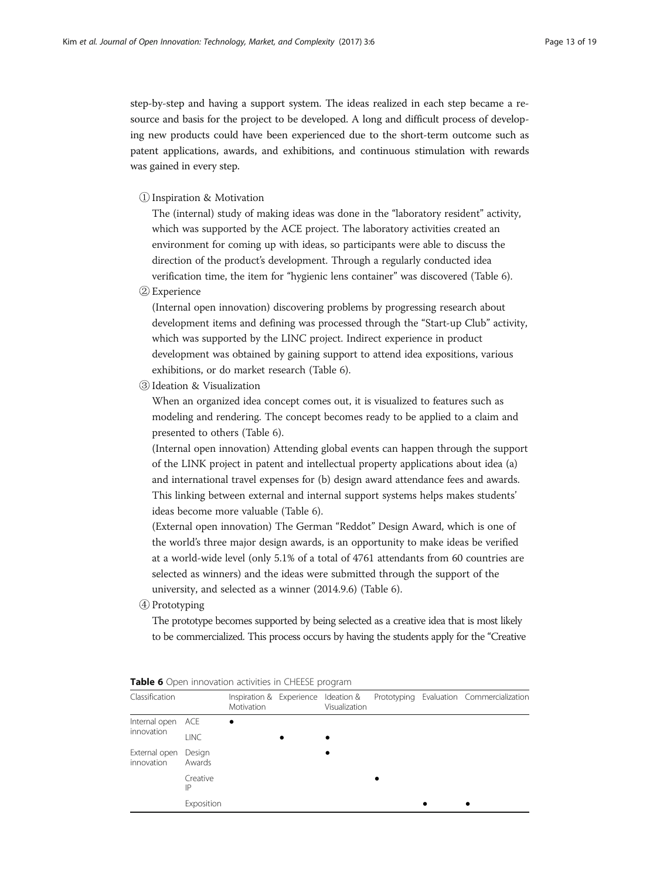<span id="page-12-0"></span>step-by-step and having a support system. The ideas realized in each step became a resource and basis for the project to be developed. A long and difficult process of developing new products could have been experienced due to the short-term outcome such as patent applications, awards, and exhibitions, and continuous stimulation with rewards was gained in every step.

① Inspiration & Motivation

The (internal) study of making ideas was done in the "laboratory resident" activity, which was supported by the ACE project. The laboratory activities created an environment for coming up with ideas, so participants were able to discuss the direction of the product's development. Through a regularly conducted idea verification time, the item for "hygienic lens container" was discovered (Table 6).

② Experience

(Internal open innovation) discovering problems by progressing research about development items and defining was processed through the "Start-up Club" activity, which was supported by the LINC project. Indirect experience in product development was obtained by gaining support to attend idea expositions, various exhibitions, or do market research (Table 6).

③ Ideation & Visualization

When an organized idea concept comes out, it is visualized to features such as modeling and rendering. The concept becomes ready to be applied to a claim and presented to others (Table 6).

(Internal open innovation) Attending global events can happen through the support of the LINK project in patent and intellectual property applications about idea (a) and international travel expenses for (b) design award attendance fees and awards. This linking between external and internal support systems helps makes students' ideas become more valuable (Table 6).

(External open innovation) The German "Reddot" Design Award, which is one of the world's three major design awards, is an opportunity to make ideas be verified at a world-wide level (only 5.1% of a total of 4761 attendants from 60 countries are selected as winners) and the ideas were submitted through the support of the university, and selected as a winner (2014.9.6) (Table 6).

④ Prototyping

The prototype becomes supported by being selected as a creative idea that is most likely to be commercialized. This process occurs by having the students apply for the "Creative

| Classification                  |                  | Inspiration & Experience Ideation &<br>Motivation | Visualization |  | Prototyping Evaluation Commercialization |
|---------------------------------|------------------|---------------------------------------------------|---------------|--|------------------------------------------|
| Internal open ACE<br>innovation |                  |                                                   |               |  |                                          |
|                                 | LINC             |                                                   |               |  |                                          |
| External open<br>innovation     | Design<br>Awards |                                                   |               |  |                                          |
|                                 | Creative<br>IP   |                                                   |               |  |                                          |
|                                 | Exposition       |                                                   |               |  | ٠                                        |

**Table 6** Open innovation activities in CHEESE program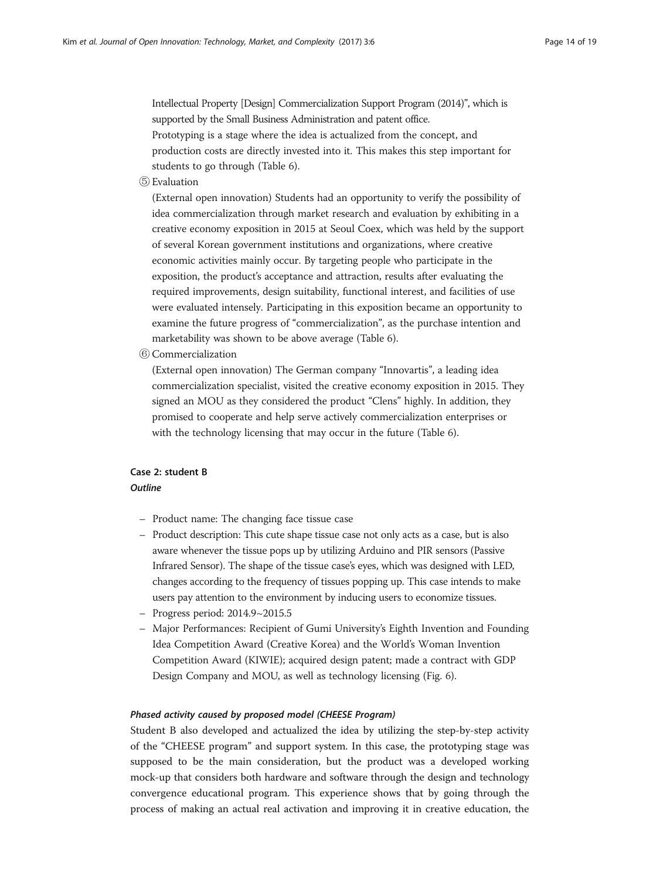Intellectual Property [Design] Commercialization Support Program (2014)", which is supported by the Small Business Administration and patent office. Prototyping is a stage where the idea is actualized from the concept, and production costs are directly invested into it. This makes this step important for students to go through (Table [6](#page-12-0)).

⑤ Evaluation

(External open innovation) Students had an opportunity to verify the possibility of idea commercialization through market research and evaluation by exhibiting in a creative economy exposition in 2015 at Seoul Coex, which was held by the support of several Korean government institutions and organizations, where creative economic activities mainly occur. By targeting people who participate in the exposition, the product's acceptance and attraction, results after evaluating the required improvements, design suitability, functional interest, and facilities of use were evaluated intensely. Participating in this exposition became an opportunity to examine the future progress of "commercialization", as the purchase intention and marketability was shown to be above average (Table [6](#page-12-0)).

⑥ Commercialization

(External open innovation) The German company "Innovartis", a leading idea commercialization specialist, visited the creative economy exposition in 2015. They signed an MOU as they considered the product "Clens" highly. In addition, they promised to cooperate and help serve actively commercialization enterprises or with the technology licensing that may occur in the future (Table [6](#page-12-0)).

# Case 2: student B **Outline**

- Product name: The changing face tissue case
- Product description: This cute shape tissue case not only acts as a case, but is also aware whenever the tissue pops up by utilizing Arduino and PIR sensors (Passive Infrared Sensor). The shape of the tissue case's eyes, which was designed with LED, changes according to the frequency of tissues popping up. This case intends to make users pay attention to the environment by inducing users to economize tissues.
- Progress period: 2014.9~2015.5
- Major Performances: Recipient of Gumi University's Eighth Invention and Founding Idea Competition Award (Creative Korea) and the World's Woman Invention Competition Award (KIWIE); acquired design patent; made a contract with GDP Design Company and MOU, as well as technology licensing (Fig. [6\)](#page-14-0).

## Phased activity caused by proposed model (CHEESE Program)

Student B also developed and actualized the idea by utilizing the step-by-step activity of the "CHEESE program" and support system. In this case, the prototyping stage was supposed to be the main consideration, but the product was a developed working mock-up that considers both hardware and software through the design and technology convergence educational program. This experience shows that by going through the process of making an actual real activation and improving it in creative education, the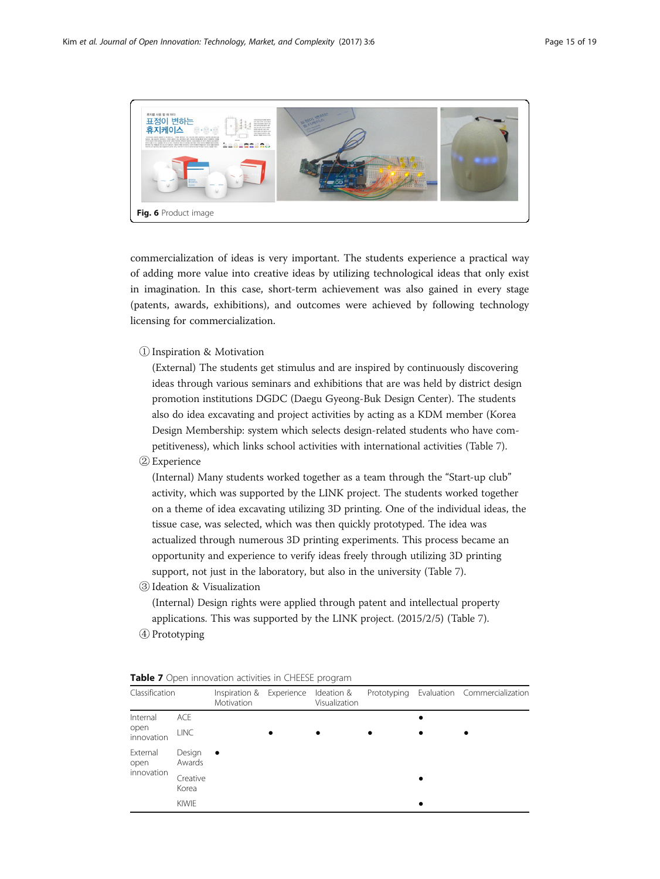<span id="page-14-0"></span>

commercialization of ideas is very important. The students experience a practical way of adding more value into creative ideas by utilizing technological ideas that only exist in imagination. In this case, short-term achievement was also gained in every stage (patents, awards, exhibitions), and outcomes were achieved by following technology licensing for commercialization.

① Inspiration & Motivation

(External) The students get stimulus and are inspired by continuously discovering ideas through various seminars and exhibitions that are was held by district design promotion institutions DGDC (Daegu Gyeong-Buk Design Center). The students also do idea excavating and project activities by acting as a KDM member (Korea Design Membership: system which selects design-related students who have competitiveness), which links school activities with international activities (Table 7).

② Experience

(Internal) Many students worked together as a team through the "Start-up club" activity, which was supported by the LINK project. The students worked together on a theme of idea excavating utilizing 3D printing. One of the individual ideas, the tissue case, was selected, which was then quickly prototyped. The idea was actualized through numerous 3D printing experiments. This process became an opportunity and experience to verify ideas freely through utilizing 3D printing support, not just in the laboratory, but also in the university (Table 7).

③ Ideation & Visualization

(Internal) Design rights were applied through patent and intellectual property applications. This was supported by the LINK project. (2015/2/5) (Table 7).

④ Prototyping

| Classification     |                   | Inspiration &<br>Motivation | Experience | Ideation &<br>Visualization | Prototyping | Evaluation Commercialization |
|--------------------|-------------------|-----------------------------|------------|-----------------------------|-------------|------------------------------|
| Internal           | <b>ACE</b>        |                             |            |                             |             |                              |
| open<br>innovation | <b>LINC</b>       |                             |            |                             |             |                              |
| External<br>open   | Design<br>Awards  | $\bullet$                   |            |                             |             |                              |
| innovation         | Creative<br>Korea |                             |            |                             |             |                              |
|                    | <b>KIWIE</b>      |                             |            |                             |             |                              |

|  |  | Table 7 Open innovation activities in CHEESE program |  |  |  |  |
|--|--|------------------------------------------------------|--|--|--|--|
|--|--|------------------------------------------------------|--|--|--|--|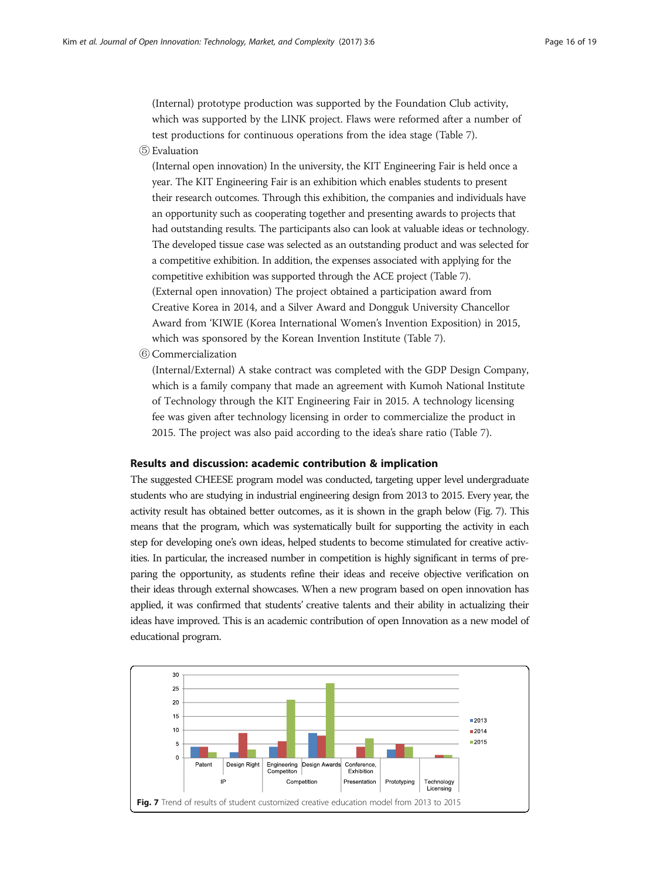(Internal) prototype production was supported by the Foundation Club activity, which was supported by the LINK project. Flaws were reformed after a number of test productions for continuous operations from the idea stage (Table [7\)](#page-14-0).

⑤ Evaluation

(Internal open innovation) In the university, the KIT Engineering Fair is held once a year. The KIT Engineering Fair is an exhibition which enables students to present their research outcomes. Through this exhibition, the companies and individuals have an opportunity such as cooperating together and presenting awards to projects that had outstanding results. The participants also can look at valuable ideas or technology. The developed tissue case was selected as an outstanding product and was selected for a competitive exhibition. In addition, the expenses associated with applying for the competitive exhibition was supported through the ACE project (Table [7\)](#page-14-0). (External open innovation) The project obtained a participation award from Creative Korea in 2014, and a Silver Award and Dongguk University Chancellor Award from 'KIWIE (Korea International Women's Invention Exposition) in 2015, which was sponsored by the Korean Invention Institute (Table [7\)](#page-14-0).

⑥ Commercialization

(Internal/External) A stake contract was completed with the GDP Design Company, which is a family company that made an agreement with Kumoh National Institute of Technology through the KIT Engineering Fair in 2015. A technology licensing fee was given after technology licensing in order to commercialize the product in 2015. The project was also paid according to the idea's share ratio (Table [7\)](#page-14-0).

# Results and discussion: academic contribution & implication

The suggested CHEESE program model was conducted, targeting upper level undergraduate students who are studying in industrial engineering design from 2013 to 2015. Every year, the activity result has obtained better outcomes, as it is shown in the graph below (Fig. 7). This means that the program, which was systematically built for supporting the activity in each step for developing one's own ideas, helped students to become stimulated for creative activities. In particular, the increased number in competition is highly significant in terms of preparing the opportunity, as students refine their ideas and receive objective verification on their ideas through external showcases. When a new program based on open innovation has applied, it was confirmed that students' creative talents and their ability in actualizing their ideas have improved. This is an academic contribution of open Innovation as a new model of educational program.

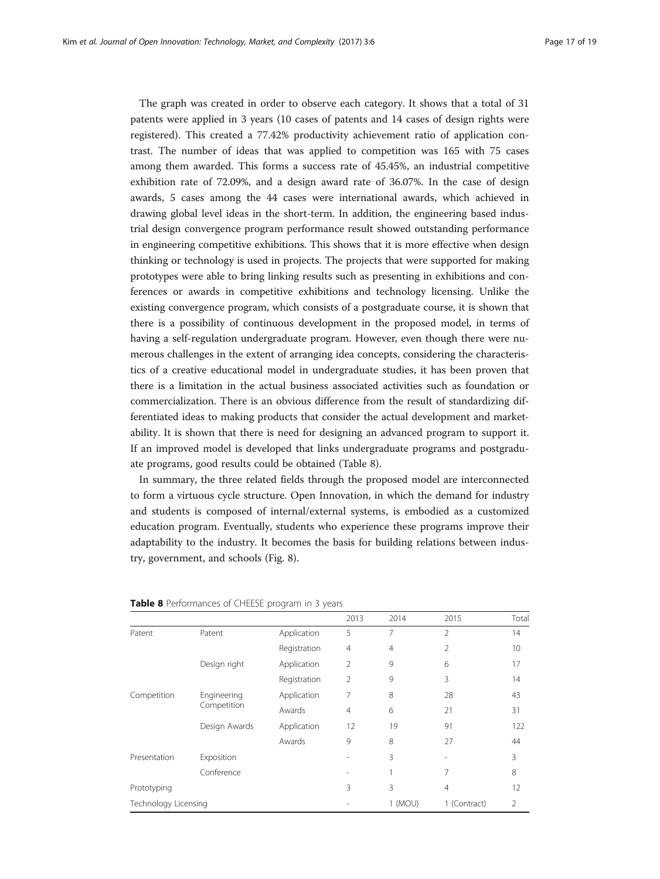The graph was created in order to observe each category. It shows that a total of 31 patents were applied in 3 years (10 cases of patents and 14 cases of design rights were registered). This created a 77.42% productivity achievement ratio of application contrast. The number of ideas that was applied to competition was 165 with 75 cases among them awarded. This forms a success rate of 45.45%, an industrial competitive exhibition rate of 72.09%, and a design award rate of 36.07%. In the case of design awards, 5 cases among the 44 cases were international awards, which achieved in drawing global level ideas in the short-term. In addition, the engineering based industrial design convergence program performance result showed outstanding performance in engineering competitive exhibitions. This shows that it is more effective when design thinking or technology is used in projects. The projects that were supported for making prototypes were able to bring linking results such as presenting in exhibitions and conferences or awards in competitive exhibitions and technology licensing. Unlike the existing convergence program, which consists of a postgraduate course, it is shown that there is a possibility of continuous development in the proposed model, in terms of having a self-regulation undergraduate program. However, even though there were numerous challenges in the extent of arranging idea concepts, considering the characteristics of a creative educational model in undergraduate studies, it has been proven that there is a limitation in the actual business associated activities such as foundation or commercialization. There is an obvious difference from the result of standardizing differentiated ideas to making products that consider the actual development and marketability. It is shown that there is need for designing an advanced program to support it. If an improved model is developed that links undergraduate programs and postgraduate programs, good results could be obtained (Table 8).

In summary, the three related fields through the proposed model are interconnected to form a virtuous cycle structure. Open Innovation, in which the demand for industry and students is composed of internal/external systems, is embodied as a customized education program. Eventually, students who experience these programs improve their adaptability to the industry. It becomes the basis for building relations between industry, government, and schools (Fig. [8\)](#page-17-0).

|                      |               |              | 2013           | 2014           | 2015           | Total |
|----------------------|---------------|--------------|----------------|----------------|----------------|-------|
| Patent               | Patent        | Application  | 5              | 7              | $\overline{2}$ | 14    |
|                      |               | Registration | $\overline{4}$ | $\overline{4}$ | $\overline{2}$ | 10    |
|                      | Design right  | Application  | $\overline{2}$ | 9              | 6              | 17    |
|                      |               | Registration | 2              | 9              | 3              | 14    |
| Competition          | Engineering   | Application  |                | 8              | 28             | 43    |
|                      | Competition   | Awards       | $\overline{4}$ | 6              | 21             | 31    |
|                      | Design Awards | Application  | 12             | 19             | 91             | 122   |
|                      |               | Awards       | 9              | 8              | 27             | 44    |
| Presentation         | Exposition    |              | ٠              | 3              | ٠              | 3     |
|                      | Conference    |              |                |                | 7              | 8     |
| Prototyping          |               |              | 3              | 3              | $\overline{4}$ | 12    |
| Technology Licensing |               |              |                | 1 (MOU)        | 1 (Contract)   | 2     |

|  | Table 8 Performances of CHEESE program in 3 years |  |  |  |  |
|--|---------------------------------------------------|--|--|--|--|
|--|---------------------------------------------------|--|--|--|--|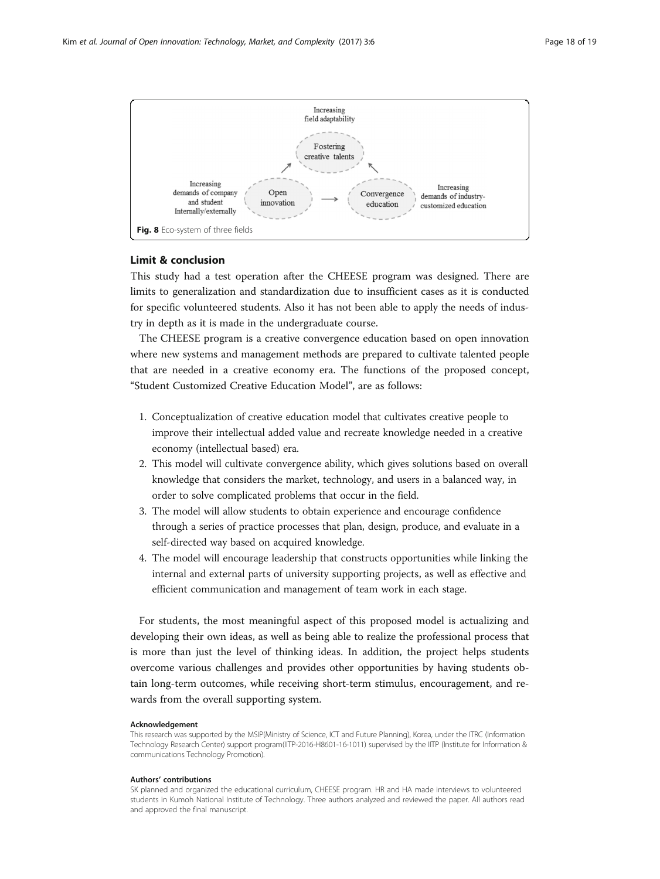<span id="page-17-0"></span>

# Limit & conclusion

This study had a test operation after the CHEESE program was designed. There are limits to generalization and standardization due to insufficient cases as it is conducted for specific volunteered students. Also it has not been able to apply the needs of industry in depth as it is made in the undergraduate course.

The CHEESE program is a creative convergence education based on open innovation where new systems and management methods are prepared to cultivate talented people that are needed in a creative economy era. The functions of the proposed concept, "Student Customized Creative Education Model", are as follows:

- 1. Conceptualization of creative education model that cultivates creative people to improve their intellectual added value and recreate knowledge needed in a creative economy (intellectual based) era.
- 2. This model will cultivate convergence ability, which gives solutions based on overall knowledge that considers the market, technology, and users in a balanced way, in order to solve complicated problems that occur in the field.
- 3. The model will allow students to obtain experience and encourage confidence through a series of practice processes that plan, design, produce, and evaluate in a self-directed way based on acquired knowledge.
- 4. The model will encourage leadership that constructs opportunities while linking the internal and external parts of university supporting projects, as well as effective and efficient communication and management of team work in each stage.

For students, the most meaningful aspect of this proposed model is actualizing and developing their own ideas, as well as being able to realize the professional process that is more than just the level of thinking ideas. In addition, the project helps students overcome various challenges and provides other opportunities by having students obtain long-term outcomes, while receiving short-term stimulus, encouragement, and rewards from the overall supporting system.

#### Acknowledgement

This research was supported by the MSIP(Ministry of Science, ICT and Future Planning), Korea, under the ITRC (Information Technology Research Center) support program(IITP-2016-H8601-16-1011) supervised by the IITP (Institute for Information & communications Technology Promotion).

#### Authors' contributions

SK planned and organized the educational curriculum, CHEESE program. HR and HA made interviews to volunteered students in Kumoh National Institute of Technology. Three authors analyzed and reviewed the paper. All authors read and approved the final manuscript.